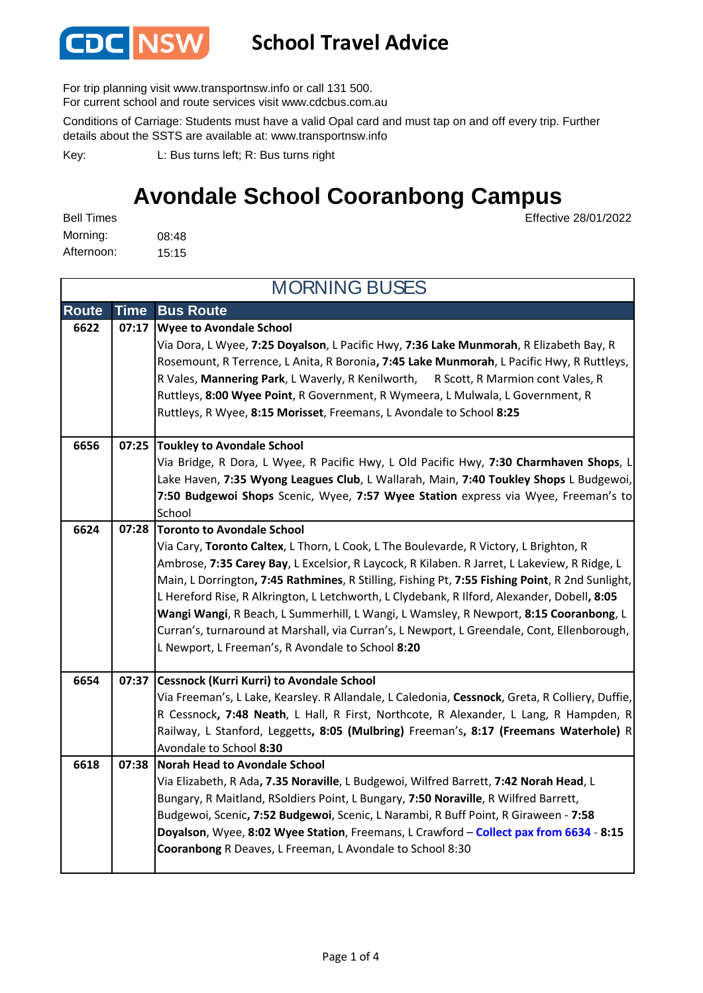

### **School Travel Advice**

For trip planning visit www.transportnsw.info or call 131 500.

For current school and route services visit www.cdcbus.com.au

Conditions of Carriage: Students must have a valid Opal card and must tap on and off every trip. Further details about the SSTS are available at: www.transportnsw.info

L: Bus turns left; R: Bus turns right Key:

### Effective 28/01/2022 **Avondale School Cooranbong Campus**

08:48 15:15 Afternoon: Morning: Bell Times

| <b>MORNING BUSES</b> |             |                                                                                                                                                                                                                                                                                                                                                                                                                                                                                                                                                                                                                                                                    |  |
|----------------------|-------------|--------------------------------------------------------------------------------------------------------------------------------------------------------------------------------------------------------------------------------------------------------------------------------------------------------------------------------------------------------------------------------------------------------------------------------------------------------------------------------------------------------------------------------------------------------------------------------------------------------------------------------------------------------------------|--|
| <b>Route</b>         | <b>Time</b> | <b>Bus Route</b>                                                                                                                                                                                                                                                                                                                                                                                                                                                                                                                                                                                                                                                   |  |
| 6622                 | 07:17       | <b>Wyee to Avondale School</b><br>Via Dora, L Wyee, 7:25 Doyalson, L Pacific Hwy, 7:36 Lake Munmorah, R Elizabeth Bay, R<br>Rosemount, R Terrence, L Anita, R Boronia, 7:45 Lake Munmorah, L Pacific Hwy, R Ruttleys,<br>R Vales, Mannering Park, L Waverly, R Kenilworth, R Scott, R Marmion cont Vales, R<br>Ruttleys, 8:00 Wyee Point, R Government, R Wymeera, L Mulwala, L Government, R<br>Ruttleys, R Wyee, 8:15 Morisset, Freemans, L Avondale to School 8:25                                                                                                                                                                                              |  |
| 6656                 |             | 07:25 Toukley to Avondale School<br>Via Bridge, R Dora, L Wyee, R Pacific Hwy, L Old Pacific Hwy, 7:30 Charmhaven Shops, L<br>Lake Haven, 7:35 Wyong Leagues Club, L Wallarah, Main, 7:40 Toukley Shops L Budgewoi,<br>7:50 Budgewoi Shops Scenic, Wyee, 7:57 Wyee Station express via Wyee, Freeman's to<br>School                                                                                                                                                                                                                                                                                                                                                |  |
| 6624                 | 07:28       | Toronto to Avondale School<br>Via Cary, Toronto Caltex, L Thorn, L Cook, L The Boulevarde, R Victory, L Brighton, R<br>Ambrose, 7:35 Carey Bay, L Excelsior, R Laycock, R Kilaben. R Jarret, L Lakeview, R Ridge, L<br>Main, L Dorrington, 7:45 Rathmines, R Stilling, Fishing Pt, 7:55 Fishing Point, R 2nd Sunlight,<br>L Hereford Rise, R Alkrington, L Letchworth, L Clydebank, R Ilford, Alexander, Dobell, 8:05<br>Wangi Wangi, R Beach, L Summerhill, L Wangi, L Wamsley, R Newport, 8:15 Cooranbong, L<br>Curran's, turnaround at Marshall, via Curran's, L Newport, L Greendale, Cont, Ellenborough,<br>L Newport, L Freeman's, R Avondale to School 8:20 |  |
| 6654                 |             | 07:37 Cessnock (Kurri Kurri) to Avondale School<br>Via Freeman's, L Lake, Kearsley. R Allandale, L Caledonia, Cessnock, Greta, R Colliery, Duffie,<br>R Cessnock, 7:48 Neath, L Hall, R First, Northcote, R Alexander, L Lang, R Hampden, R<br>Railway, L Stanford, Leggetts, 8:05 (Mulbring) Freeman's, 8:17 (Freemans Waterhole) R<br>Avondale to School 8:30                                                                                                                                                                                                                                                                                                    |  |
| 6618                 | 07:38       | <b>Norah Head to Avondale School</b><br>Via Elizabeth, R Ada, 7.35 Noraville, L Budgewoi, Wilfred Barrett, 7:42 Norah Head, L<br>Bungary, R Maitland, RSoldiers Point, L Bungary, 7:50 Noraville, R Wilfred Barrett,<br>Budgewoi, Scenic, 7:52 Budgewoi, Scenic, L Narambi, R Buff Point, R Giraween - 7:58<br>Doyalson, Wyee, 8:02 Wyee Station, Freemans, L Crawford - Collect pax from 6634 - 8:15<br>Cooranbong R Deaves, L Freeman, L Avondale to School 8:30                                                                                                                                                                                                 |  |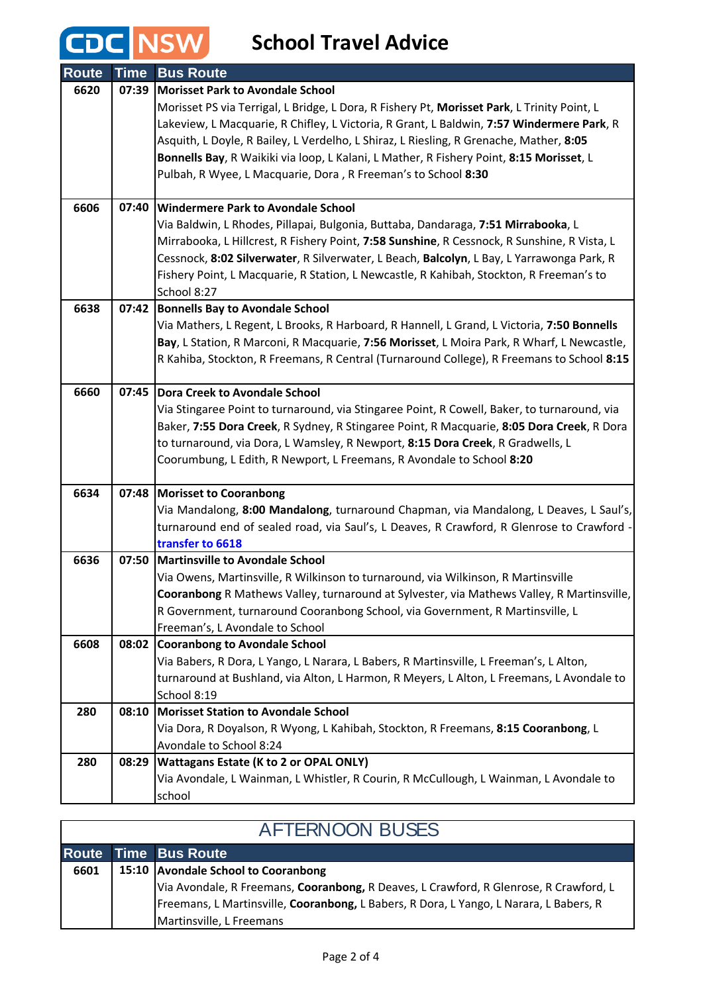**CDC** NSW School Travel Advice

| <b>Route</b> | <b>Time</b> | <b>Bus Route</b>                                                                                                                                                                    |
|--------------|-------------|-------------------------------------------------------------------------------------------------------------------------------------------------------------------------------------|
| 6620         | 07:39       | <b>Morisset Park to Avondale School</b>                                                                                                                                             |
|              |             | Morisset PS via Terrigal, L Bridge, L Dora, R Fishery Pt, Morisset Park, L Trinity Point, L                                                                                         |
|              |             | Lakeview, L Macquarie, R Chifley, L Victoria, R Grant, L Baldwin, 7:57 Windermere Park, R                                                                                           |
|              |             | Asquith, L Doyle, R Bailey, L Verdelho, L Shiraz, L Riesling, R Grenache, Mather, 8:05                                                                                              |
|              |             | Bonnells Bay, R Waikiki via loop, L Kalani, L Mather, R Fishery Point, 8:15 Morisset, L                                                                                             |
|              |             | Pulbah, R Wyee, L Macquarie, Dora, R Freeman's to School 8:30                                                                                                                       |
| 6606         | 07:40       | <b>Windermere Park to Avondale School</b>                                                                                                                                           |
|              |             | Via Baldwin, L Rhodes, Pillapai, Bulgonia, Buttaba, Dandaraga, 7:51 Mirrabooka, L                                                                                                   |
|              |             | Mirrabooka, L Hillcrest, R Fishery Point, 7:58 Sunshine, R Cessnock, R Sunshine, R Vista, L                                                                                         |
|              |             | Cessnock, 8:02 Silverwater, R Silverwater, L Beach, Balcolyn, L Bay, L Yarrawonga Park, R                                                                                           |
|              |             | Fishery Point, L Macquarie, R Station, L Newcastle, R Kahibah, Stockton, R Freeman's to                                                                                             |
| 6638         | 07:42       | School 8:27<br><b>Bonnells Bay to Avondale School</b>                                                                                                                               |
|              |             | Via Mathers, L Regent, L Brooks, R Harboard, R Hannell, L Grand, L Victoria, 7:50 Bonnells                                                                                          |
|              |             | Bay, L Station, R Marconi, R Macquarie, 7:56 Morisset, L Moira Park, R Wharf, L Newcastle,                                                                                          |
|              |             | R Kahiba, Stockton, R Freemans, R Central (Turnaround College), R Freemans to School 8:15                                                                                           |
|              |             |                                                                                                                                                                                     |
| 6660         | 07:45       | <b>Dora Creek to Avondale School</b>                                                                                                                                                |
|              |             | Via Stingaree Point to turnaround, via Stingaree Point, R Cowell, Baker, to turnaround, via                                                                                         |
|              |             | Baker, 7:55 Dora Creek, R Sydney, R Stingaree Point, R Macquarie, 8:05 Dora Creek, R Dora                                                                                           |
|              |             | to turnaround, via Dora, L Wamsley, R Newport, 8:15 Dora Creek, R Gradwells, L                                                                                                      |
|              |             | Coorumbung, L Edith, R Newport, L Freemans, R Avondale to School 8:20                                                                                                               |
| 6634         | 07:48       | <b>Morisset to Cooranbong</b>                                                                                                                                                       |
|              |             | Via Mandalong, 8:00 Mandalong, turnaround Chapman, via Mandalong, L Deaves, L Saul's,                                                                                               |
|              |             | turnaround end of sealed road, via Saul's, L Deaves, R Crawford, R Glenrose to Crawford ·                                                                                           |
|              |             | transfer to 6618                                                                                                                                                                    |
| 6636         | 07:50       | Martinsville to Avondale School                                                                                                                                                     |
|              |             | Via Owens, Martinsville, R Wilkinson to turnaround, via Wilkinson, R Martinsville                                                                                                   |
|              |             | Cooranbong R Mathews Valley, turnaround at Sylvester, via Mathews Valley, R Martinsville,                                                                                           |
|              |             | R Government, turnaround Cooranbong School, via Government, R Martinsville, L                                                                                                       |
|              |             | Freeman's, L Avondale to School                                                                                                                                                     |
| 6608         | 08:02       | <b>Cooranbong to Avondale School</b>                                                                                                                                                |
|              |             | Via Babers, R Dora, L Yango, L Narara, L Babers, R Martinsville, L Freeman's, L Alton,<br>turnaround at Bushland, via Alton, L Harmon, R Meyers, L Alton, L Freemans, L Avondale to |
|              |             | School 8:19                                                                                                                                                                         |
| 280          | 08:10       | <b>Morisset Station to Avondale School</b>                                                                                                                                          |
|              |             | Via Dora, R Doyalson, R Wyong, L Kahibah, Stockton, R Freemans, 8:15 Cooranbong, L                                                                                                  |
|              |             | Avondale to School 8:24                                                                                                                                                             |
| 280          | 08:29       | <b>Wattagans Estate (K to 2 or OPAL ONLY)</b>                                                                                                                                       |
|              |             | Via Avondale, L Wainman, L Whistler, R Courin, R McCullough, L Wainman, L Avondale to                                                                                               |
|              |             | school                                                                                                                                                                              |

| <b>AFTERNOON BUSES</b> |  |                                                                                        |  |  |
|------------------------|--|----------------------------------------------------------------------------------------|--|--|
|                        |  | <b>Route Time Bus Route</b>                                                            |  |  |
| 6601                   |  | 15:10 Avondale School to Cooranbong                                                    |  |  |
|                        |  | Via Avondale, R Freemans, Cooranbong, R Deaves, L Crawford, R Glenrose, R Crawford, L  |  |  |
|                        |  | Freemans, L Martinsville, Cooranbong, L Babers, R Dora, L Yango, L Narara, L Babers, R |  |  |
|                        |  | Martinsville, L Freemans                                                               |  |  |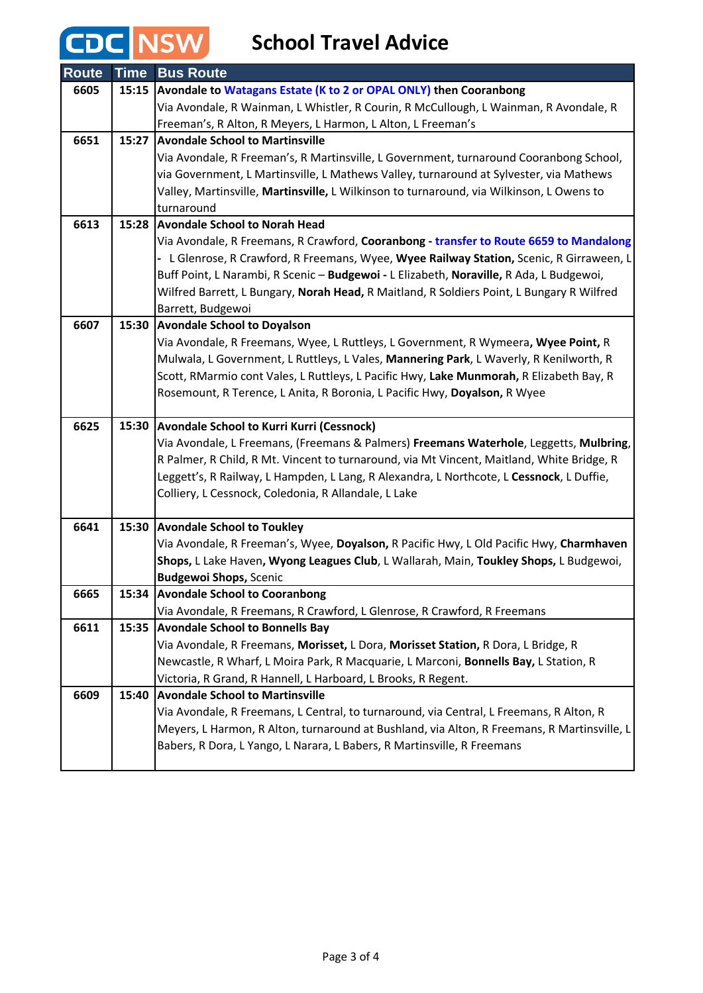## CDC NSW

**School Travel Advice**

| <b>Route</b> | <b>Time</b> | <b>Bus Route</b>                                                                            |
|--------------|-------------|---------------------------------------------------------------------------------------------|
| 6605         | 15:15       | Avondale to Watagans Estate (K to 2 or OPAL ONLY) then Cooranbong                           |
|              |             | Via Avondale, R Wainman, L Whistler, R Courin, R McCullough, L Wainman, R Avondale, R       |
|              |             | Freeman's, R Alton, R Meyers, L Harmon, L Alton, L Freeman's                                |
| 6651         | 15:27       | <b>Avondale School to Martinsville</b>                                                      |
|              |             | Via Avondale, R Freeman's, R Martinsville, L Government, turnaround Cooranbong School,      |
|              |             | via Government, L Martinsville, L Mathews Valley, turnaround at Sylvester, via Mathews      |
|              |             | Valley, Martinsville, Martinsville, L Wilkinson to turnaround, via Wilkinson, L Owens to    |
|              |             | turnaround                                                                                  |
| 6613         | 15:28       | <b>Avondale School to Norah Head</b>                                                        |
|              |             | Via Avondale, R Freemans, R Crawford, Cooranbong - transfer to Route 6659 to Mandalong      |
|              |             | - L Glenrose, R Crawford, R Freemans, Wyee, Wyee Railway Station, Scenic, R Girraween, L    |
|              |             | Buff Point, L Narambi, R Scenic - Budgewoi - L Elizabeth, Noraville, R Ada, L Budgewoi,     |
|              |             | Wilfred Barrett, L Bungary, Norah Head, R Maitland, R Soldiers Point, L Bungary R Wilfred   |
|              |             | Barrett, Budgewoi                                                                           |
| 6607         | 15:30       | <b>Avondale School to Doyalson</b>                                                          |
|              |             | Via Avondale, R Freemans, Wyee, L Ruttleys, L Government, R Wymeera, Wyee Point, R          |
|              |             | Mulwala, L Government, L Ruttleys, L Vales, Mannering Park, L Waverly, R Kenilworth, R      |
|              |             | Scott, RMarmio cont Vales, L Ruttleys, L Pacific Hwy, Lake Munmorah, R Elizabeth Bay, R     |
|              |             | Rosemount, R Terence, L Anita, R Boronia, L Pacific Hwy, Doyalson, R Wyee                   |
| 6625         | 15:30       | <b>Avondale School to Kurri Kurri (Cessnock)</b>                                            |
|              |             | Via Avondale, L Freemans, (Freemans & Palmers) Freemans Waterhole, Leggetts, Mulbring,      |
|              |             | R Palmer, R Child, R Mt. Vincent to turnaround, via Mt Vincent, Maitland, White Bridge, R   |
|              |             | Leggett's, R Railway, L Hampden, L Lang, R Alexandra, L Northcote, L Cessnock, L Duffie,    |
|              |             | Colliery, L Cessnock, Coledonia, R Allandale, L Lake                                        |
|              |             |                                                                                             |
| 6641         | 15:30       | <b>Avondale School to Toukley</b>                                                           |
|              |             | Via Avondale, R Freeman's, Wyee, Doyalson, R Pacific Hwy, L Old Pacific Hwy, Charmhaven     |
|              |             | Shops, L Lake Haven, Wyong Leagues Club, L Wallarah, Main, Toukley Shops, L Budgewoi,       |
|              |             | <b>Budgewoi Shops, Scenic</b>                                                               |
| 6665         | 15:34       | <b>Avondale School to Cooranbong</b>                                                        |
|              |             | Via Avondale, R Freemans, R Crawford, L Glenrose, R Crawford, R Freemans                    |
| 6611         | 15:35       | <b>Avondale School to Bonnells Bay</b>                                                      |
|              |             | Via Avondale, R Freemans, Morisset, L Dora, Morisset Station, R Dora, L Bridge, R           |
|              |             | Newcastle, R Wharf, L Moira Park, R Macquarie, L Marconi, Bonnells Bay, L Station, R        |
|              |             | Victoria, R Grand, R Hannell, L Harboard, L Brooks, R Regent.                               |
| 6609         | 15:40       | <b>Avondale School to Martinsville</b>                                                      |
|              |             | Via Avondale, R Freemans, L Central, to turnaround, via Central, L Freemans, R Alton, R     |
|              |             | Meyers, L Harmon, R Alton, turnaround at Bushland, via Alton, R Freemans, R Martinsville, L |
|              |             | Babers, R Dora, L Yango, L Narara, L Babers, R Martinsville, R Freemans                     |
|              |             |                                                                                             |